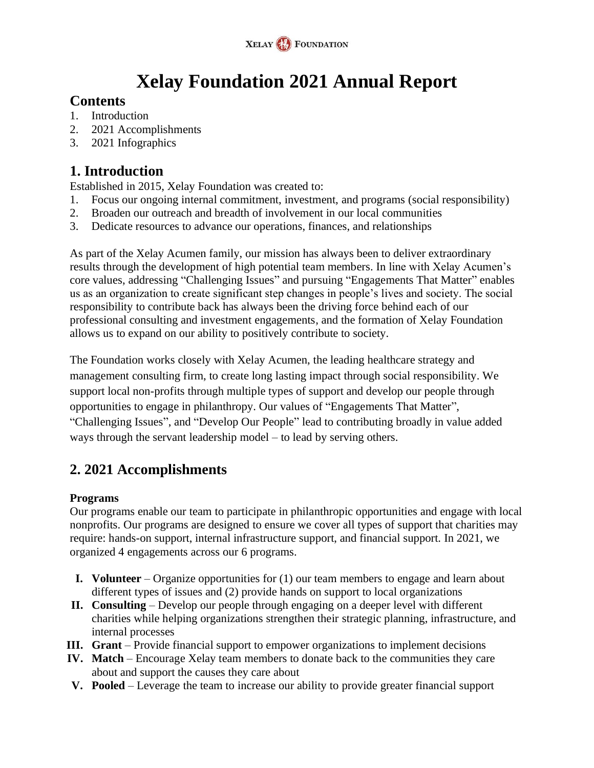

# **Xelay Foundation 2021 Annual Report**

### **Contents**

- 1. Introduction
- 2. 2021 Accomplishments
- 3. 2021 Infographics

### **1. Introduction**

Established in 2015, Xelay Foundation was created to:

- 1. Focus our ongoing internal commitment, investment, and programs (social responsibility)
- 2. Broaden our outreach and breadth of involvement in our local communities
- 3. Dedicate resources to advance our operations, finances, and relationships

As part of the Xelay Acumen family, our mission has always been to deliver extraordinary results through the development of high potential team members. In line with Xelay Acumen's core values, addressing "Challenging Issues" and pursuing "Engagements That Matter" enables us as an organization to create significant step changes in people's lives and society. The social responsibility to contribute back has always been the driving force behind each of our professional consulting and investment engagements, and the formation of Xelay Foundation allows us to expand on our ability to positively contribute to society.

The Foundation works closely with Xelay Acumen, the leading healthcare strategy and management consulting firm, to create long lasting impact through social responsibility. We support local non-profits through multiple types of support and develop our people through opportunities to engage in philanthropy. Our values of "Engagements That Matter", "Challenging Issues", and "Develop Our People" lead to contributing broadly in value added ways through the servant leadership model – to lead by serving others.

## **2. 2021 Accomplishments**

### **Programs**

Our programs enable our team to participate in philanthropic opportunities and engage with local nonprofits. Our programs are designed to ensure we cover all types of support that charities may require: hands-on support, internal infrastructure support, and financial support. In 2021, we organized 4 engagements across our 6 programs.

- **I. Volunteer** Organize opportunities for (1) our team members to engage and learn about different types of issues and (2) provide hands on support to local organizations
- **II. Consulting** Develop our people through engaging on a deeper level with different charities while helping organizations strengthen their strategic planning, infrastructure, and internal processes
- **III. Grant** Provide financial support to empower organizations to implement decisions
- **IV. Match** Encourage Xelay team members to donate back to the communities they care about and support the causes they care about
- **V. Pooled** Leverage the team to increase our ability to provide greater financial support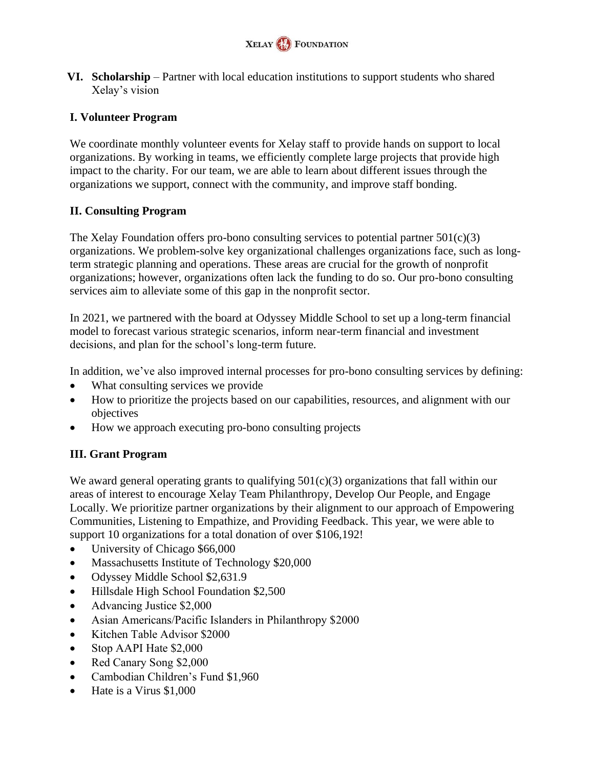

**VI. Scholarship** – Partner with local education institutions to support students who shared Xelay's vision

### **I. Volunteer Program**

We coordinate monthly volunteer events for Xelay staff to provide hands on support to local organizations. By working in teams, we efficiently complete large projects that provide high impact to the charity. For our team, we are able to learn about different issues through the organizations we support, connect with the community, and improve staff bonding.

### **II. Consulting Program**

The Xelay Foundation offers pro-bono consulting services to potential partner  $501(c)(3)$ organizations. We problem-solve key organizational challenges organizations face, such as longterm strategic planning and operations. These areas are crucial for the growth of nonprofit organizations; however, organizations often lack the funding to do so. Our pro-bono consulting services aim to alleviate some of this gap in the nonprofit sector.

In 2021, we partnered with the board at Odyssey Middle School to set up a long-term financial model to forecast various strategic scenarios, inform near-term financial and investment decisions, and plan for the school's long-term future.

In addition, we've also improved internal processes for pro-bono consulting services by defining:

- What consulting services we provide
- How to prioritize the projects based on our capabilities, resources, and alignment with our objectives
- How we approach executing pro-bono consulting projects

### **III. Grant Program**

We award general operating grants to qualifying  $501(c)(3)$  organizations that fall within our areas of interest to encourage Xelay Team Philanthropy, Develop Our People, and Engage Locally. We prioritize partner organizations by their alignment to our approach of Empowering Communities, Listening to Empathize, and Providing Feedback. This year, we were able to support 10 organizations for a total donation of over \$106,192!

- University of Chicago \$66,000
- Massachusetts Institute of Technology \$20,000
- Odyssey Middle School \$2,631.9
- Hillsdale High School Foundation \$2,500
- Advancing Justice \$2,000
- Asian Americans/Pacific Islanders in Philanthropy \$2000
- Kitchen Table Advisor \$2000
- Stop AAPI Hate \$2,000
- Red Canary Song \$2,000
- Cambodian Children's Fund \$1,960
- Hate is a Virus \$1,000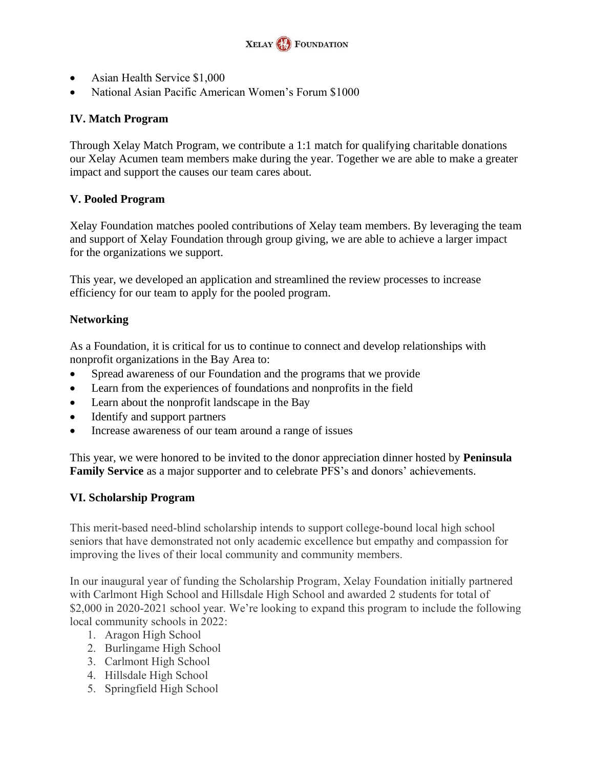

- Asian Health Service \$1,000
- National Asian Pacific American Women's Forum \$1000

#### **IV. Match Program**

Through Xelay Match Program, we contribute a 1:1 match for qualifying charitable donations our Xelay Acumen team members make during the year. Together we are able to make a greater impact and support the causes our team cares about.

#### **V. Pooled Program**

Xelay Foundation matches pooled contributions of Xelay team members. By leveraging the team and support of Xelay Foundation through group giving, we are able to achieve a larger impact for the organizations we support.

This year, we developed an application and streamlined the review processes to increase efficiency for our team to apply for the pooled program.

#### **Networking**

As a Foundation, it is critical for us to continue to connect and develop relationships with nonprofit organizations in the Bay Area to:

- Spread awareness of our Foundation and the programs that we provide
- Learn from the experiences of foundations and nonprofits in the field
- Learn about the nonprofit landscape in the Bay
- Identify and support partners
- Increase awareness of our team around a range of issues

This year, we were honored to be invited to the donor appreciation dinner hosted by **Peninsula Family Service** as a major supporter and to celebrate PFS's and donors' achievements.

#### **VI. Scholarship Program**

This merit-based need-blind scholarship intends to support college-bound local high school seniors that have demonstrated not only academic excellence but empathy and compassion for improving the lives of their local community and community members.

In our inaugural year of funding the Scholarship Program, Xelay Foundation initially partnered with Carlmont High School and Hillsdale High School and awarded 2 students for total of \$2,000 in 2020-2021 school year. We're looking to expand this program to include the following local community schools in 2022:

- 1. Aragon High School
- 2. Burlingame High School
- 3. Carlmont High School
- 4. Hillsdale High School
- 5. Springfield High School